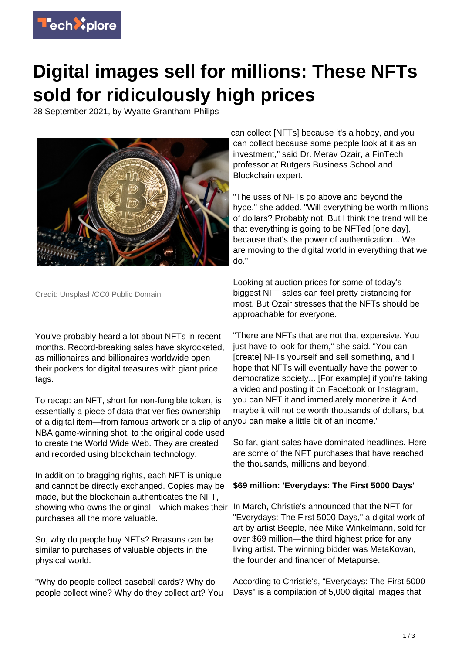

# **Digital images sell for millions: These NFTs sold for ridiculously high prices**

28 September 2021, by Wyatte Grantham-Philips



Credit: Unsplash/CC0 Public Domain

You've probably heard a lot about NFTs in recent months. Record-breaking sales have skyrocketed, as millionaires and billionaires worldwide open their pockets for digital treasures with giant price tags.

To recap: an NFT, short for non-fungible token, is essentially a piece of data that verifies ownership of a digital item—from famous artwork or a clip of an you can make a little bit of an income." NBA game-winning shot, to the original code used to create the World Wide Web. They are created and recorded using blockchain technology.

In addition to bragging rights, each NFT is unique and cannot be directly exchanged. Copies may be made, but the blockchain authenticates the NFT, showing who owns the original—which makes their purchases all the more valuable.

So, why do people buy NFTs? Reasons can be similar to purchases of valuable objects in the physical world.

"Why do people collect baseball cards? Why do people collect wine? Why do they collect art? You can collect [NFTs] because it's a hobby, and you can collect because some people look at it as an investment," said Dr. Merav Ozair, a FinTech professor at Rutgers Business School and Blockchain expert.

"The uses of NFTs go above and beyond the hype," she added. "Will everything be worth millions of dollars? Probably not. But I think the trend will be that everything is going to be NFTed [one day], because that's the power of authentication... We are moving to the digital world in everything that we do."

Looking at auction prices for some of today's biggest NFT sales can feel pretty distancing for most. But Ozair stresses that the NFTs should be approachable for everyone.

"There are NFTs that are not that expensive. You just have to look for them." she said. "You can [create] NFTs yourself and sell something, and I hope that NFTs will eventually have the power to democratize society... [For example] if you're taking a video and posting it on Facebook or Instagram, you can NFT it and immediately monetize it. And maybe it will not be worth thousands of dollars, but

So far, giant sales have dominated headlines. Here are some of the NFT purchases that have reached the thousands, millions and beyond.

#### **\$69 million: 'Everydays: The First 5000 Days'**

In March, Christie's announced that the NFT for "Everydays: The First 5000 Days," a digital work of art by artist Beeple, née Mike Winkelmann, sold for over \$69 million—the third highest price for any living artist. The winning bidder was MetaKovan, the founder and financer of Metapurse.

According to Christie's, "Everydays: The First 5000 Days" is a compilation of 5,000 digital images that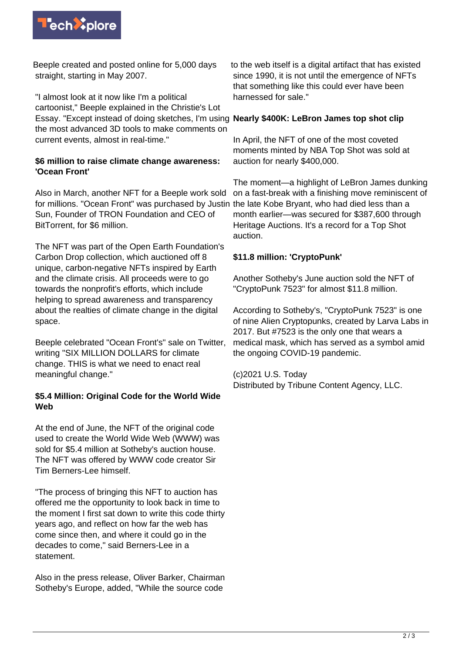

Beeple created and posted online for 5,000 days straight, starting in May 2007.

"I almost look at it now like I'm a political cartoonist," Beeple explained in the Christie's Lot Essay. "Except instead of doing sketches, I'm using **Nearly \$400K: LeBron James top shot clip** the most advanced 3D tools to make comments on current events, almost in real-time."

### **\$6 million to raise climate change awareness: 'Ocean Front'**

Also in March, another NFT for a Beeple work sold for millions. "Ocean Front" was purchased by Justin the late Kobe Bryant, who had died less than a Sun, Founder of TRON Foundation and CEO of BitTorrent, for \$6 million.

The NFT was part of the Open Earth Foundation's Carbon Drop collection, which auctioned off 8 unique, carbon-negative NFTs inspired by Earth and the climate crisis. All proceeds were to go towards the nonprofit's efforts, which include helping to spread awareness and transparency about the realties of climate change in the digital space.

Beeple celebrated "Ocean Front's" sale on Twitter, writing "SIX MILLION DOLLARS for climate change. THIS is what we need to enact real meaningful change."

# **\$5.4 Million: Original Code for the World Wide Web**

At the end of June, the NFT of the original code used to create the World Wide Web (WWW) was sold for \$5.4 million at Sotheby's auction house. The NFT was offered by WWW code creator Sir Tim Berners-Lee himself.

"The process of bringing this NFT to auction has offered me the opportunity to look back in time to the moment I first sat down to write this code thirty years ago, and reflect on how far the web has come since then, and where it could go in the decades to come," said Berners-Lee in a statement.

Also in the press release, Oliver Barker, Chairman Sotheby's Europe, added, "While the source code

to the web itself is a digital artifact that has existed since 1990, it is not until the emergence of NFTs that something like this could ever have been harnessed for sale."

In April, the NFT of one of the most coveted moments minted by NBA Top Shot was sold at auction for nearly \$400,000.

The moment—a highlight of LeBron James dunking on a fast-break with a finishing move reminiscent of month earlier—was secured for \$387,600 through Heritage Auctions. It's a record for a Top Shot auction.

# **\$11.8 million: 'CryptoPunk'**

Another Sotheby's June auction sold the NFT of "CryptoPunk 7523" for almost \$11.8 million.

According to Sotheby's, "CryptoPunk 7523" is one of nine Alien Cryptopunks, created by Larva Labs in 2017. But #7523 is the only one that wears a medical mask, which has served as a symbol amid the ongoing COVID-19 pandemic.

(c)2021 U.S. Today Distributed by Tribune Content Agency, LLC.